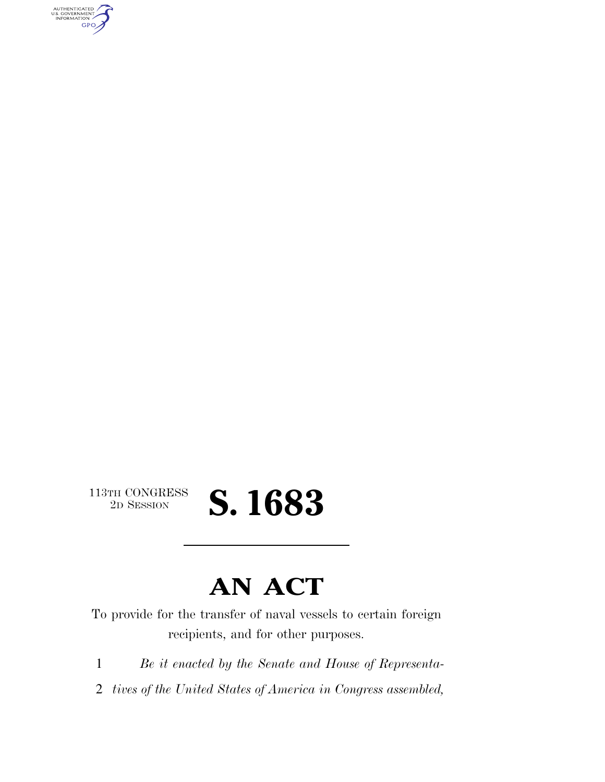AUTHENTICATED<br>U.S. GOVERNMENT<br>INFORMATION GPO

 $\begin{array}{c} \textbf{113TH CONGRESS} \\ \textbf{2D} \textbf{Session} \end{array}$ 

## 2D SESSION **S. 1683**

### **AN ACT**

To provide for the transfer of naval vessels to certain foreign recipients, and for other purposes.

1 *Be it enacted by the Senate and House of Representa-*

2 *tives of the United States of America in Congress assembled,*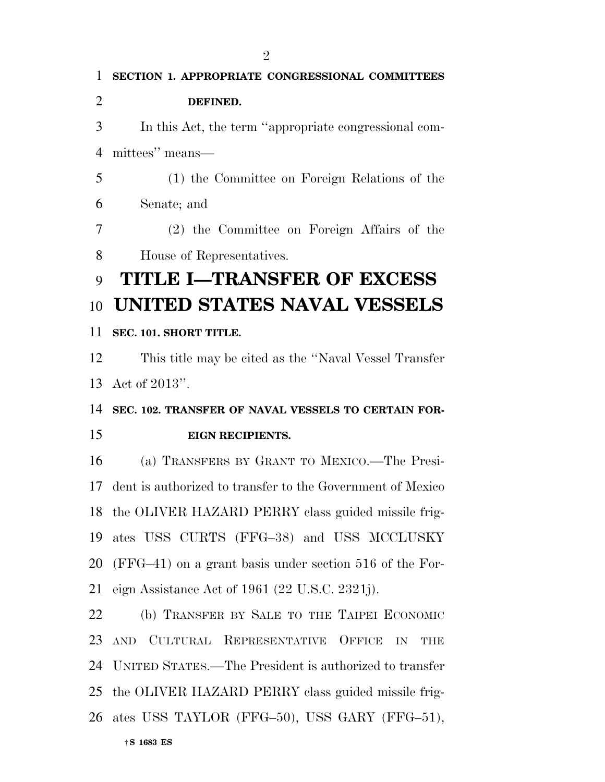†**S 1683 ES SECTION 1. APPROPRIATE CONGRESSIONAL COMMITTEES DEFINED.**  In this Act, the term ''appropriate congressional com- mittees'' means— (1) the Committee on Foreign Relations of the Senate; and (2) the Committee on Foreign Affairs of the House of Representatives. **TITLE I—TRANSFER OF EXCESS UNITED STATES NAVAL VESSELS SEC. 101. SHORT TITLE.**  This title may be cited as the ''Naval Vessel Transfer Act of 2013''. **SEC. 102. TRANSFER OF NAVAL VESSELS TO CERTAIN FOR- EIGN RECIPIENTS.**  (a) TRANSFERS BY GRANT TO MEXICO.—The Presi- dent is authorized to transfer to the Government of Mexico the OLIVER HAZARD PERRY class guided missile frig- ates USS CURTS (FFG–38) and USS MCCLUSKY (FFG–41) on a grant basis under section 516 of the For- eign Assistance Act of 1961 (22 U.S.C. 2321j). (b) TRANSFER BY SALE TO THE TAIPEI ECONOMIC AND CULTURAL REPRESENTATIVE OFFICE IN THE UNITED STATES.—The President is authorized to transfer the OLIVER HAZARD PERRY class guided missile frig-ates USS TAYLOR (FFG–50), USS GARY (FFG–51),

 $\mathfrak{D}$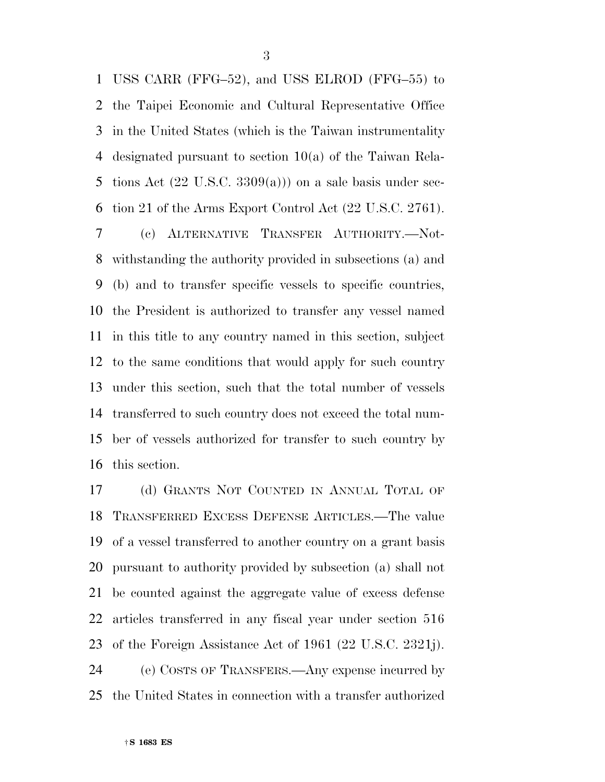USS CARR (FFG–52), and USS ELROD (FFG–55) to the Taipei Economic and Cultural Representative Office in the United States (which is the Taiwan instrumentality designated pursuant to section 10(a) of the Taiwan Rela-5 tions Act  $(22 \text{ U.S.C. } 3309(a))$  on a sale basis under sec-tion 21 of the Arms Export Control Act (22 U.S.C. 2761).

 (c) ALTERNATIVE TRANSFER AUTHORITY.—Not- withstanding the authority provided in subsections (a) and (b) and to transfer specific vessels to specific countries, the President is authorized to transfer any vessel named in this title to any country named in this section, subject to the same conditions that would apply for such country under this section, such that the total number of vessels transferred to such country does not exceed the total num- ber of vessels authorized for transfer to such country by this section.

 (d) GRANTS NOT COUNTED IN ANNUAL TOTAL OF TRANSFERRED EXCESS DEFENSE ARTICLES.—The value of a vessel transferred to another country on a grant basis pursuant to authority provided by subsection (a) shall not be counted against the aggregate value of excess defense articles transferred in any fiscal year under section 516 of the Foreign Assistance Act of 1961 (22 U.S.C. 2321j). (e) COSTS OF TRANSFERS.—Any expense incurred by the United States in connection with a transfer authorized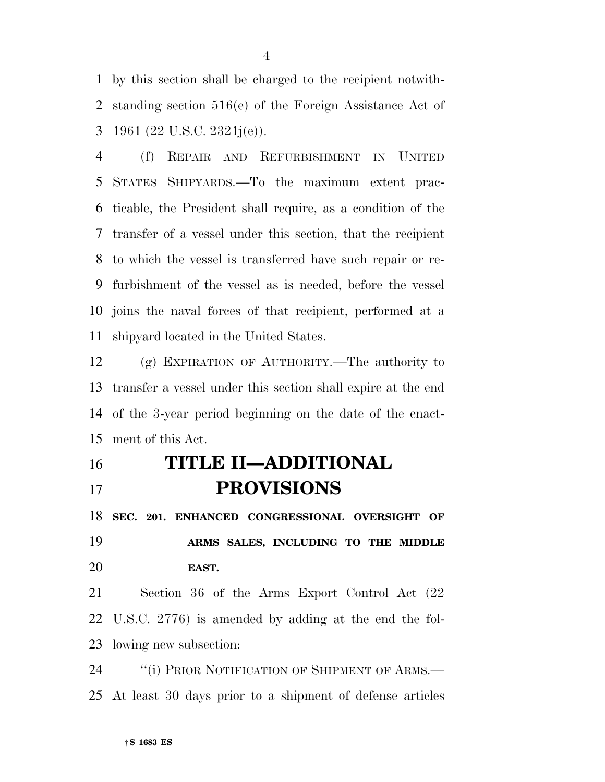by this section shall be charged to the recipient notwith- standing section 516(e) of the Foreign Assistance Act of 1961 (22 U.S.C. 2321j(e)).

 (f) REPAIR AND REFURBISHMENT IN UNITED STATES SHIPYARDS.—To the maximum extent prac- ticable, the President shall require, as a condition of the transfer of a vessel under this section, that the recipient to which the vessel is transferred have such repair or re- furbishment of the vessel as is needed, before the vessel joins the naval forces of that recipient, performed at a shipyard located in the United States.

 (g) EXPIRATION OF AUTHORITY.—The authority to transfer a vessel under this section shall expire at the end of the 3-year period beginning on the date of the enact-ment of this Act.

### **TITLE II—ADDITIONAL PROVISIONS**

 **SEC. 201. ENHANCED CONGRESSIONAL OVERSIGHT OF ARMS SALES, INCLUDING TO THE MIDDLE EAST.** 

 Section 36 of the Arms Export Control Act (22 U.S.C. 2776) is amended by adding at the end the fol-lowing new subsection:

24 "(i) PRIOR NOTIFICATION OF SHIPMENT OF ARMS.— At least 30 days prior to a shipment of defense articles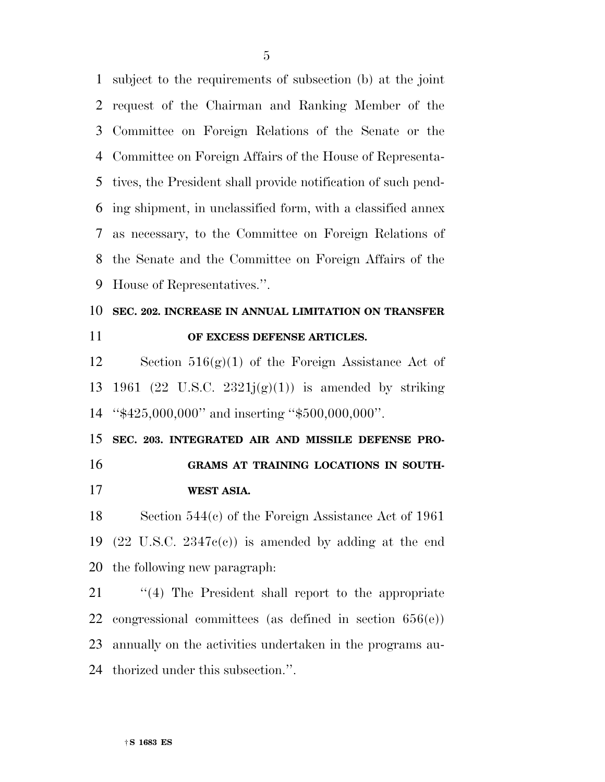subject to the requirements of subsection (b) at the joint request of the Chairman and Ranking Member of the Committee on Foreign Relations of the Senate or the Committee on Foreign Affairs of the House of Representa- tives, the President shall provide notification of such pend- ing shipment, in unclassified form, with a classified annex as necessary, to the Committee on Foreign Relations of the Senate and the Committee on Foreign Affairs of the House of Representatives.''.

#### **SEC. 202. INCREASE IN ANNUAL LIMITATION ON TRANSFER OF EXCESS DEFENSE ARTICLES.**

 Section 516(g)(1) of the Foreign Assistance Act of 13 1961 (22 U.S.C. 2321 $j(g)(1)$ ) is amended by striking ''\$425,000,000'' and inserting ''\$500,000,000''.

 **SEC. 203. INTEGRATED AIR AND MISSILE DEFENSE PRO- GRAMS AT TRAINING LOCATIONS IN SOUTH-WEST ASIA.** 

 Section 544(c) of the Foreign Assistance Act of 1961 (22 U.S.C. 2347c(c)) is amended by adding at the end the following new paragraph:

21 "(4) The President shall report to the appropriate congressional committees (as defined in section 656(e)) annually on the activities undertaken in the programs au-thorized under this subsection.''.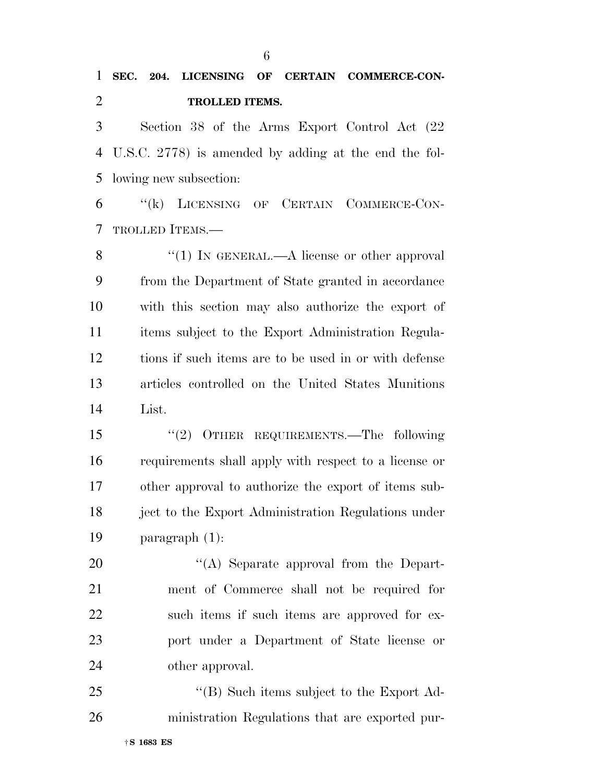U.S.C. 2778) is amended by adding at the end the fol-lowing new subsection:

 ''(k) LICENSING OF CERTAIN COMMERCE-CON-TROLLED ITEMS.—

8 "(1) In GENERAL.—A license or other approval from the Department of State granted in accordance with this section may also authorize the export of items subject to the Export Administration Regula- tions if such items are to be used in or with defense articles controlled on the United States Munitions List.

 ''(2) OTHER REQUIREMENTS.—The following requirements shall apply with respect to a license or other approval to authorize the export of items sub- ject to the Export Administration Regulations under paragraph (1):

20 "(A) Separate approval from the Depart- ment of Commerce shall not be required for such items if such items are approved for ex- port under a Department of State license or other approval.

25 "'(B) Such items subject to the Export Ad-ministration Regulations that are exported pur-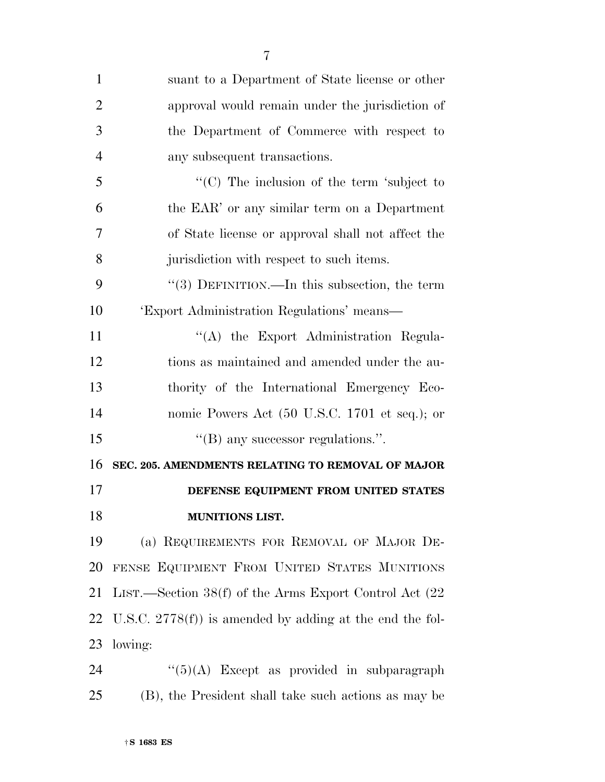| $\mathbf{1}$   | suant to a Department of State license or other           |
|----------------|-----------------------------------------------------------|
| $\overline{2}$ | approval would remain under the jurisdiction of           |
| 3              | the Department of Commerce with respect to                |
| $\overline{4}$ | any subsequent transactions.                              |
| 5              | "(C) The inclusion of the term 'subject to                |
| 6              | the EAR' or any similar term on a Department              |
| 7              | of State license or approval shall not affect the         |
| 8              | jurisdiction with respect to such items.                  |
| 9              | "(3) DEFINITION.—In this subsection, the term             |
| 10             | 'Export Administration Regulations' means—                |
| 11             | "(A) the Export Administration Regula-                    |
| 12             | tions as maintained and amended under the au-             |
| 13             | thority of the International Emergency Eco-               |
| 14             | nomic Powers Act (50 U.S.C. 1701 et seq.); or             |
| 15             | $\lq$ (B) any successor regulations.".                    |
| 16             | SEC. 205. AMENDMENTS RELATING TO REMOVAL OF MAJOR         |
| 17             | DEFENSE EQUIPMENT FROM UNITED STATES                      |
| 18             | MUNITIONS LIST.                                           |
| 19             | (a) REQUIREMENTS FOR REMOVAL OF MAJOR DE-                 |
| 20             | FENSE EQUIPMENT FROM UNITED STATES MUNITIONS              |
| 21             | LIST.—Section 38(f) of the Arms Export Control Act (22    |
| 22             | U.S.C. $2778(f)$ is amended by adding at the end the fol- |
| 23             | lowing:                                                   |
| 24             | $``(5)(A)$ Except as provided in subparagraph             |
|                |                                                           |

(B), the President shall take such actions as may be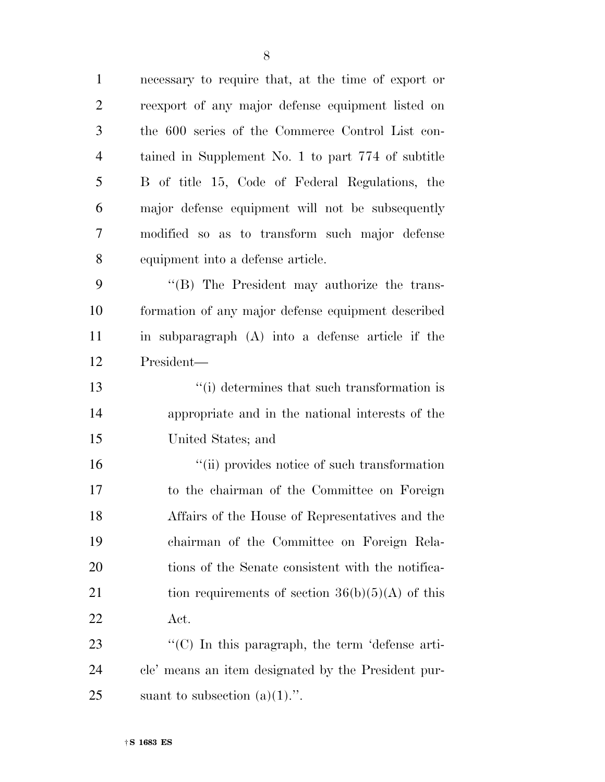| $\mathbf{1}$   | necessary to require that, at the time of export or |
|----------------|-----------------------------------------------------|
| $\overline{2}$ | reexport of any major defense equipment listed on   |
| 3              | the 600 series of the Commerce Control List con-    |
| $\overline{4}$ | tained in Supplement No. 1 to part 774 of subtitle  |
| 5              | B of title 15, Code of Federal Regulations, the     |
| 6              | major defense equipment will not be subsequently    |
| 7              | modified so as to transform such major defense      |
| 8              | equipment into a defense article.                   |
| 9              | "(B) The President may authorize the trans-         |
| 10             | formation of any major defense equipment described  |
| 11             | in subparagraph (A) into a defense article if the   |
| 12             | President—                                          |
| 13             | "(i) determines that such transformation is         |
| 14             | appropriate and in the national interests of the    |
| 15             | United States; and                                  |
| 16             | "(ii) provides notice of such transformation        |
| 17             | to the chairman of the Committee on Foreign         |
| 18             | Affairs of the House of Representatives and the     |
| 19             | chairman of the Committee on Foreign Rela-          |
| 20             | tions of the Senate consistent with the notifica-   |
| 21             | tion requirements of section $36(b)(5)(A)$ of this  |
| 22             | Act.                                                |
| 23             | "(C) In this paragraph, the term 'defense arti-     |
| 24             | cle' means an item designated by the President pur- |
| 25             | suant to subsection $(a)(1)$ .".                    |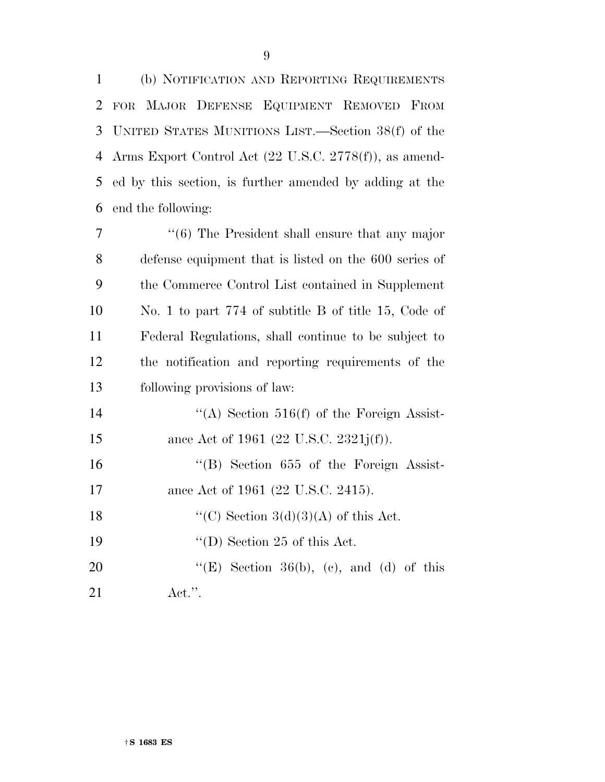(b) NOTIFICATION AND REPORTING REQUIREMENTS FOR MAJOR DEFENSE EQUIPMENT REMOVED FROM UNITED STATES MUNITIONS LIST.—Section 38(f) of the Arms Export Control Act (22 U.S.C. 2778(f)), as amend- ed by this section, is further amended by adding at the end the following:

 ''(6) The President shall ensure that any major defense equipment that is listed on the 600 series of the Commerce Control List contained in Supplement No. 1 to part 774 of subtitle B of title 15, Code of Federal Regulations, shall continue to be subject to the notification and reporting requirements of the following provisions of law:  $((A)$  Section 516(f) of the Foreign Assist-15 ance Act of 1961 (22 U.S.C. 2321j(f)). ''(B) Section 655 of the Foreign Assist-17 ance Act of 1961 (22 U.S.C. 2415).  $\text{``(C)}$  Section 3(d)(3)(A) of this Act. 19 ''(D) Section 25 of this Act.  $"({\rm E})$  Section 36(b), (c), and (d) of this

Act.''.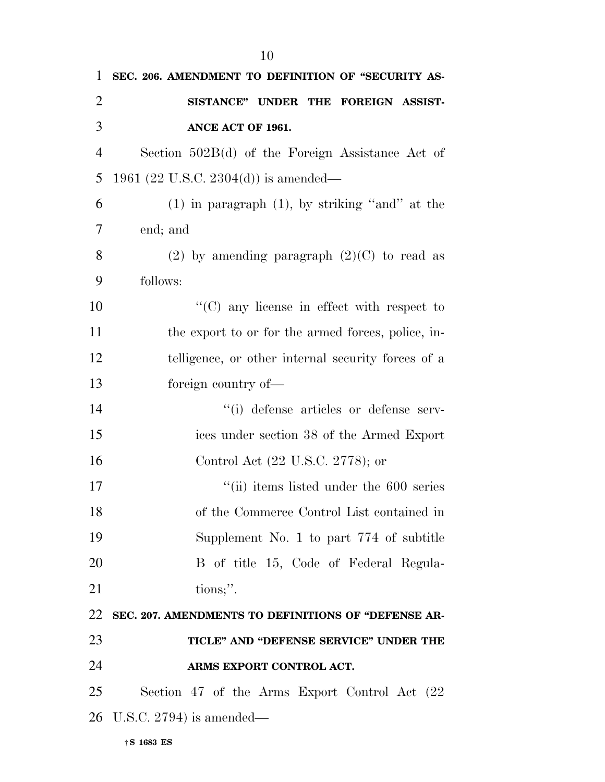| $\mathbf{1}$   | SEC. 206. AMENDMENT TO DEFINITION OF "SECURITY AS-  |
|----------------|-----------------------------------------------------|
| $\overline{2}$ | SISTANCE" UNDER THE FOREIGN ASSIST-                 |
| 3              | ANCE ACT OF 1961.                                   |
| $\overline{4}$ | Section $502B(d)$ of the Foreign Assistance Act of  |
| 5              | 1961 (22 U.S.C. 2304(d)) is amended—                |
| 6              | $(1)$ in paragraph $(1)$ , by striking "and" at the |
| 7              | end; and                                            |
| 8              | (2) by amending paragraph $(2)(C)$ to read as       |
| 9              | follows:                                            |
| 10             | $\lq\lq$ (C) any license in effect with respect to  |
| 11             | the export to or for the armed forces, police, in-  |
| 12             | telligence, or other internal security forces of a  |
| 13             | foreign country of—                                 |
| 14             | "(i) defense articles or defense serv-              |
| 15             | ices under section 38 of the Armed Export           |
| 16             | Control Act (22 U.S.C. 2778); or                    |
| 17             | $\degree$ (ii) items listed under the 600 series    |
| 18             | of the Commerce Control List contained in           |
| 19             | Supplement No. 1 to part $774$ of subtitle          |
| 20             | B of title 15, Code of Federal Regula-              |
| 21             | tions;".                                            |
| 22             | SEC. 207. AMENDMENTS TO DEFINITIONS OF "DEFENSE AR- |
| 23             | TICLE" AND "DEFENSE SERVICE" UNDER THE              |
| 24             | ARMS EXPORT CONTROL ACT.                            |
| 25             | Section 47 of the Arms Export Control Act (22)      |
|                | 26 U.S.C. 2794) is amended—                         |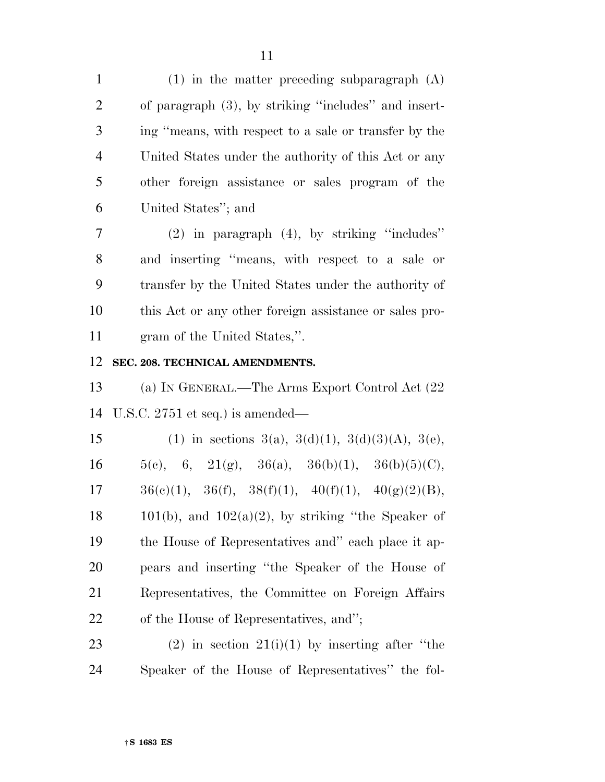(1) in the matter preceding subparagraph (A) of paragraph (3), by striking ''includes'' and insert- ing ''means, with respect to a sale or transfer by the United States under the authority of this Act or any other foreign assistance or sales program of the United States''; and

 (2) in paragraph (4), by striking ''includes'' and inserting ''means, with respect to a sale or transfer by the United States under the authority of this Act or any other foreign assistance or sales pro-gram of the United States,''.

**SEC. 208. TECHNICAL AMENDMENTS.** 

 (a) IN GENERAL.—The Arms Export Control Act (22 U.S.C. 2751 et seq.) is amended—

15 (1) in sections  $3(a)$ ,  $3(d)(1)$ ,  $3(d)(3)(A)$ ,  $3(e)$ , 16 5(c), 6, 21(g), 36(a), 36(b)(1), 36(b)(5)(C),  $17 \qquad 36(e)(1), \quad 36(f), \quad 38(f)(1), \quad 40(f)(1), \quad 40(g)(2)(B),$ 18 101(b), and  $102(a)(2)$ , by striking "the Speaker of the House of Representatives and'' each place it ap- pears and inserting ''the Speaker of the House of Representatives, the Committee on Foreign Affairs of the House of Representatives, and'';

23 (2) in section  $21(i)(1)$  by inserting after "the Speaker of the House of Representatives'' the fol-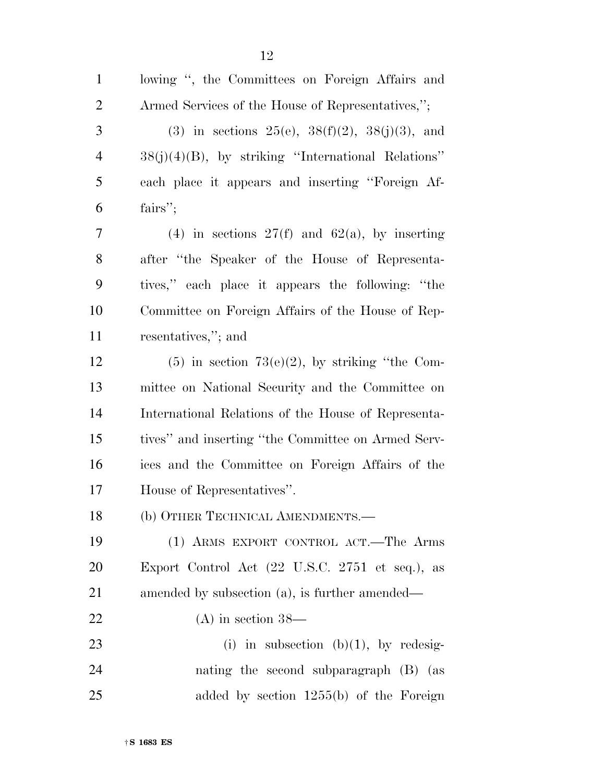| $\mathbf{1}$   | lowing ", the Committees on Foreign Affairs and       |
|----------------|-------------------------------------------------------|
| $\overline{2}$ | Armed Services of the House of Representatives,";     |
| 3              | (3) in sections 25(e), $38(f)(2)$ , $38(j)(3)$ , and  |
| $\overline{4}$ | $38(j)(4)(B)$ , by striking "International Relations" |
| 5              | each place it appears and inserting "Foreign Af-      |
| 6              | fairs";                                               |
| 7              | (4) in sections $27(f)$ and $62(a)$ , by inserting    |
| 8              | after "the Speaker of the House of Representa-        |
| 9              | tives," each place it appears the following: "the     |
| 10             | Committee on Foreign Affairs of the House of Rep-     |
| 11             | resentatives,"; and                                   |
| 12             | $(5)$ in section 73(e)(2), by striking "the Com-      |
| 13             | mittee on National Security and the Committee on      |
| 14             | International Relations of the House of Representa-   |
| 15             | tives" and inserting "the Committee on Armed Serv-    |
| 16             | ices and the Committee on Foreign Affairs of the      |
| 17             | House of Representatives".                            |
| 18             | (b) OTHER TECHNICAL AMENDMENTS.-                      |
| 19             | (1) ARMS EXPORT CONTROL ACT.—The Arms                 |
| 20             | Export Control Act (22 U.S.C. 2751 et seq.), as       |
| 21             | amended by subsection (a), is further amended—        |
| 22             | $(A)$ in section 38—                                  |
| 23             | (i) in subsection (b)(1), by redesig-                 |
| 24             | nating the second subparagraph (B) (as                |
| 25             | added by section $1255(b)$ of the Foreign             |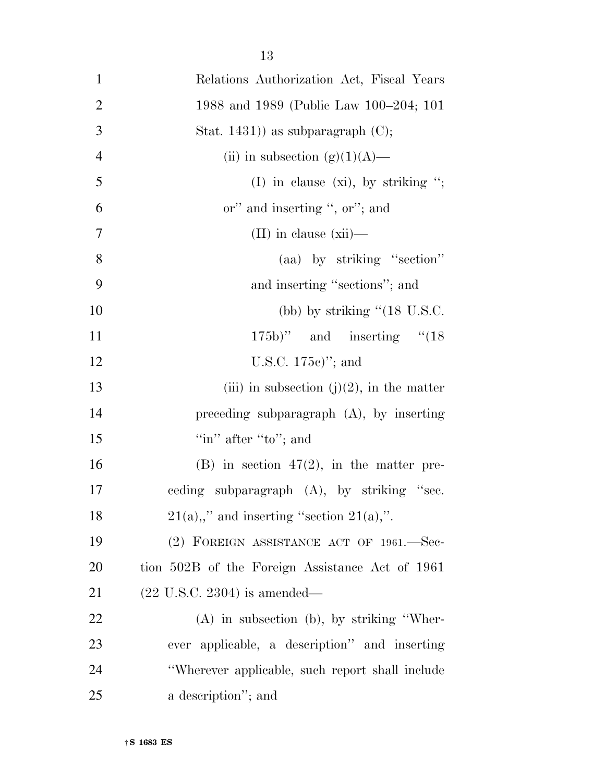| $\mathbf{1}$   | Relations Authorization Act, Fiscal Years       |
|----------------|-------------------------------------------------|
| $\overline{2}$ | 1988 and 1989 (Public Law 100–204; 101          |
| 3              | Stat. $1431$ ) as subparagraph (C);             |
| $\overline{4}$ | (ii) in subsection (g)(1)(A)—                   |
| 5              | (I) in clause (xi), by striking ";              |
| 6              | or" and inserting ", or"; and                   |
| 7              | $(II)$ in clause $(xii)$ —                      |
| 8              | (aa) by striking "section"                      |
| 9              | and inserting "sections"; and                   |
| 10             | (bb) by striking $"({\rm 18 \; U.S.C.})"$       |
| 11             | $(175b)$ " and inserting " $(18)$               |
| 12             | U.S.C. $175c$ <sup>"</sup> ; and                |
| 13             | (iii) in subsection (j)(2), in the matter       |
| 14             | preceding subparagraph $(A)$ , by inserting     |
| 15             | "in" after "to"; and                            |
| 16             | $(B)$ in section 47(2), in the matter pre-      |
| 17             | ceding subparagraph (A), by striking "sec.      |
| 18             | $21(a),''$ and inserting "section $21(a)$ ,".   |
| 19             | (2) FOREIGN ASSISTANCE ACT OF 1961.-Sec-        |
| 20             | tion 502B of the Foreign Assistance Act of 1961 |
| 21             | $(22 \text{ U.S.C. } 2304)$ is amended—         |
| 22             | $(A)$ in subsection $(b)$ , by striking "Wher-  |
| 23             | ever applicable, a description" and inserting   |
| 24             | "Wherever applicable, such report shall include |
| 25             | a description"; and                             |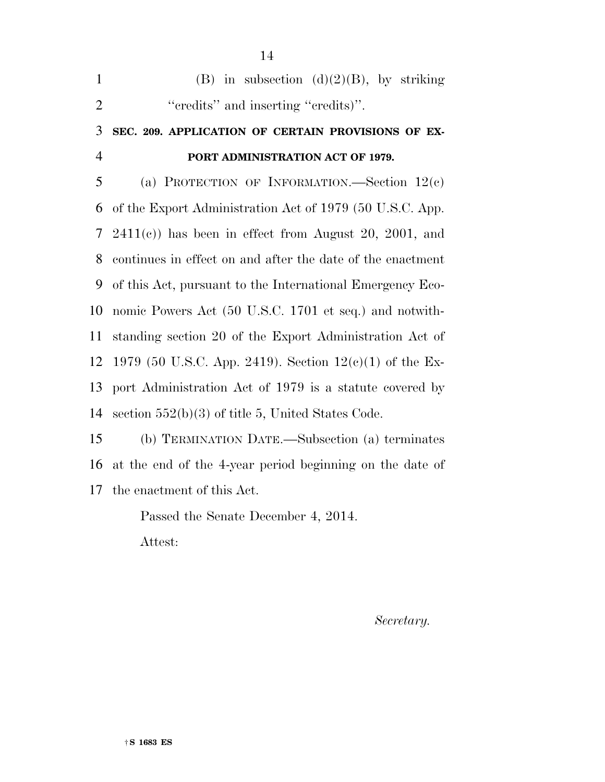| $\mathbf{1}$   | (B) in subsection (d)(2)(B), by striking                   |
|----------------|------------------------------------------------------------|
| $\overline{2}$ | "credits" and inserting "credits)".                        |
| 3              | SEC. 209. APPLICATION OF CERTAIN PROVISIONS OF EX-         |
| $\overline{4}$ | PORT ADMINISTRATION ACT OF 1979.                           |
| 5              | (a) PROTECTION OF INFORMATION.—Section $12(c)$             |
| 6              | of the Export Administration Act of 1979 (50 U.S.C. App.   |
| 7              | $2411(c)$ has been in effect from August 20, 2001, and     |
| 8              | continues in effect on and after the date of the enactment |
| 9              | of this Act, pursuant to the International Emergency Eco-  |
| 10             | nomic Powers Act (50 U.S.C. 1701 et seq.) and notwith-     |
| 11             | standing section 20 of the Export Administration Act of    |
| 12             | 1979 (50 U.S.C. App. 2419). Section $12(c)(1)$ of the Ex-  |
| 13             | port Administration Act of 1979 is a statute covered by    |
| 14             | section $552(b)(3)$ of title 5, United States Code.        |
| 15             | (b) TERMINATION DATE.—Subsection (a) terminates            |
| 16             | at the end of the 4-year period beginning on the date of   |

the enactment of this Act.

Passed the Senate December 4, 2014. Attest:

*Secretary.*